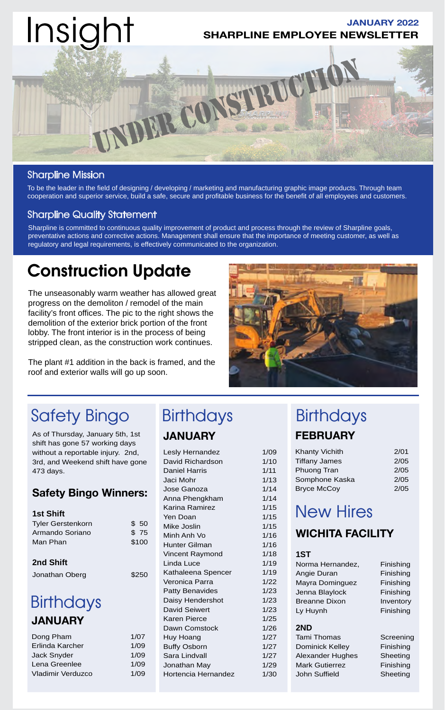

### Sharpline Mission

To be the leader in the field of designing / developing / marketing and manufacturing graphic image products. Through team cooperation and superior service, build a safe, secure and profitable business for the benefit of all employees and customers.

### Sharpline Quality Statement

Sharpline is committed to continuous quality improvement of product and process through the review of Sharpline goals, preventative actions and corrective actions. Management shall ensure that the importance of meeting customer, as well as regulatory and legal requirements, is effectively communicated to the organization.

## Construction Update

The unseasonably warm weather has allowed great progress on the demoliton / remodel of the main facility's front offices. The pic to the right shows the demolition of the exterior brick portion of the front lobby. The front interior is in the process of being stripped clean, as the construction work continues.

The plant #1 addition in the back is framed, and the roof and exterior walls will go up soon.



# Safety Bingo Birthdays Birthdays

As of Thursday, January 5th, 1st shift has gone 57 working days without a reportable injury. 2nd, 3rd, and Weekend shift have gone 473 days.

## **Safety Bingo Winners:**

| <b>1st Shift</b>         |       |
|--------------------------|-------|
| <b>Tyler Gerstenkorn</b> | \$50  |
| Armando Soriano          | \$75  |
| Man Phan                 | \$100 |
|                          |       |

### **2nd Shift**

Jonathan Oberg \$250

## **Birthdays JANUARY**

| 1/07 |
|------|
| 1/09 |
| 1/09 |
| 1/09 |
| 1/09 |
|      |

# **JANUARY**

| Lesly Hernandez        | 1/09 |
|------------------------|------|
| David Richardson       | 1/10 |
| <b>Daniel Harris</b>   | 1/11 |
| Jaci Mohr              | 1/13 |
| Jose Ganoza            | 1/14 |
| Anna Phengkham         | 1/14 |
| Karina Ramirez         | 1/15 |
| Yen Doan               | 1/15 |
| Mike Joslin            | 1/15 |
| Minh Anh Vo            | 1/16 |
| Hunter Gilman          | 1/16 |
| Vincent Raymond        | 1/18 |
| Linda Luce             | 1/19 |
| Kathaleena Spencer     | 1/19 |
| Veronica Parra         | 1/22 |
| <b>Patty Benavides</b> | 1/23 |
| Daisy Hendershot       | 1/23 |
| <b>David Seiwert</b>   | 1/23 |
| Karen Pierce           | 1/25 |
| Dawn Comstock          | 1/26 |
| Huy Hoang              | 1/27 |
| <b>Buffy Osborn</b>    | 1/27 |
| Sara Lindvall          | 1/27 |
| Jonathan May           | 1/29 |
| Hortencia Hernandez    | 1/30 |
|                        |      |

# **FEBRUARY**

| <b>Khanty Vichith</b> | 2/01 |
|-----------------------|------|
| <b>Tiffany James</b>  | 2/05 |
| Phuong Tran           | 2/05 |
| Somphone Kaska        | 2/05 |
| <b>Bryce McCoy</b>    | 2/05 |

# New Hires

## **WICHITA FACILITY**

#### **1ST**

Norma Hernandez, Finishing Angie Duran Finishing Mayra Dominguez Finishing Jenna Blaylock Finishing Breanne Dixon Inventory Ly Huynh Finishing

#### **2ND**

Tami Thomas Screening Dominick Kelley Finishing Alexander Hughes Sheeting Mark Gutierrez Finishing John Suffield Sheeting

- 
-